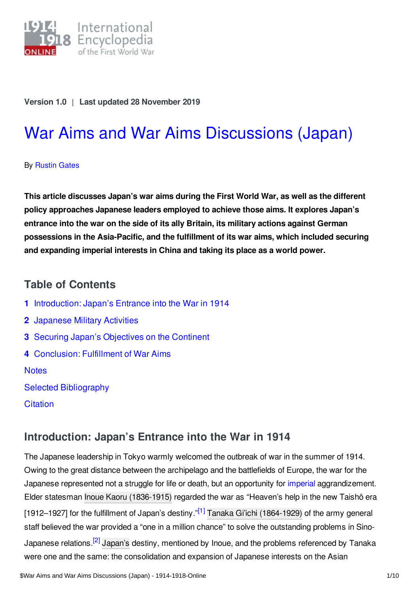

#### **Version 1.0** | **Last updated 28 November 2019**

# War Aims and War Aims [Discussions](https://encyclopedia.1914-1918-online.net/article/war_aims_and_war_aims_discussions_japan) (Japan)

#### By [Rustin](https://encyclopedia.1914-1918-online.net/contributors/Rustin_Gates) Gates

**This article discusses Japan's war aims during the First World War, as well as the different policy approaches Japanese leaders employed to achieve those aims. It explores Japan's entrance into the war on the side of its ally Britain, its military actions against German possessions in the Asia-Pacific, and the fulfillment of its war aims, which included securing and expanding imperial interests in China and taking its place as a world power.**

## **Table of Contents**

- **1** [Introduction:](#page-0-0) Japan's Entrance into the War in 1914
- **2** [Japanese](#page-1-0) Military Activities
- **3** Securing Japan's [Objectives](#page-2-0) on the Continent
- **4** [Conclusion:](#page-5-0) Fulfillment of War Aims

#### **[Notes](#page-7-0)**

- Selected [Bibliography](#page-8-0)
- **[Citation](#page-9-0)**

# <span id="page-0-0"></span>**Introduction: Japan's Entrance into the War in 1914**

<span id="page-0-2"></span><span id="page-0-1"></span>The Japanese leadership in Tokyo warmly welcomed the outbreak of war in the summer of 1914. Owing to the great distance between the archipelago and the battlefields of Europe, the war for the Japanese represented not a struggle for life or death, but an opportunity for *[imperial](https://encyclopedia.1914-1918-online.net/article/imperialism)* aggrandizement. Elder statesman Inoue Kaoru [\(1836-1915\)](https://encyclopedia.1914-1918-online.net/index/names/111492184X) regarded the war as "Heaven's help in the new Taishō era [1912–1927] for the fulfillment of Japan's destiny."<sup>[\[1\]](#page-7-1)</sup> Tanaka Gi'ichi [\(1864-1929\)](https://encyclopedia.1914-1918-online.net/index/names/1049352483) of the army general staff believed the war provided a "one in a million chance" to solve the outstanding problems in Sino-Japanese relations.<sup>[\[2\]](#page-7-2)</sup> [Japan's](https://encyclopedia.1914-1918-online.net/article/japan) destiny, mentioned by Inoue, and the problems referenced by Tanaka were one and the same: the consolidation and expansion of Japanese interests on the Asian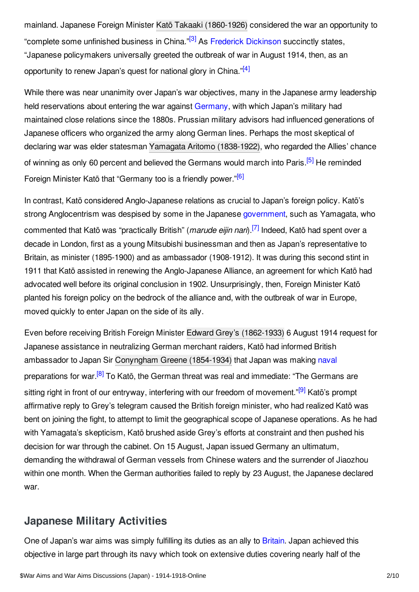<span id="page-1-1"></span>mainland. Japanese Foreign Minister Katō Takaaki [\(1860-1926\)](https://encyclopedia.1914-1918-online.net/index/names/1049354753) considered the war an opportunity to "complete some unfinished business in China."<sup>[\[3\]](#page-7-3)</sup> As Frederick [Dickinson](https://encyclopedia.1914-1918-online.net/contributors/Frederick_R._Dickinson) succinctly states, "Japanese policymakers universally greeted the outbreak of war in August 1914, then, as an opportunity to renew Japan's quest for national glory in China."<sup>[\[4\]](#page-7-4)</sup>

<span id="page-1-2"></span>While there was near unanimity over Japan's war objectives, many in the Japanese army leadership held reservations about entering the war against [Germany](https://encyclopedia.1914-1918-online.net/article/germany), with which Japan's military had maintained close relations since the 1880s. Prussian military advisors had influenced generations of Japanese officers who organized the army along German lines. Perhaps the most skeptical of declaring war was elder statesman Yamagata Aritomo [\(1838-1922\)](https://encyclopedia.1914-1918-online.net/index/names/119316552), who regarded the Allies' chance of winning as only 60 percent and believed the Germans would march into Paris.<sup>[\[5\]](#page-7-5)</sup> He reminded Foreign Minister Katō that "Germany too is a friendly power."<sup>[\[6\]](#page-7-6)</sup>

<span id="page-1-5"></span><span id="page-1-4"></span><span id="page-1-3"></span>In contrast, Katō considered Anglo-Japanese relations as crucial to Japan's foreign policy. Katō's strong Anglocentrism was despised by some in the Japanese [government](https://encyclopedia.1914-1918-online.net/article/governments_parliaments_and_parties_japan), such as Yamagata, who commented that Katō was "practically British" (*marude eijin nari*). [\[7\]](#page-7-7) Indeed, Katō had spent over a decade in London, first as a young Mitsubishi businessman and then as Japan's representative to Britain, as minister (1895-1900) and as ambassador (1908-1912). It was during this second stint in 1911 that Katō assisted in renewing the Anglo-Japanese Alliance, an agreement for which Katō had advocated well before its original conclusion in 1902. Unsurprisingly, then, Foreign Minister Katō planted his foreign policy on the bedrock of the alliance and, with the outbreak of war in Europe, moved quickly to enter Japan on the side of its ally.

<span id="page-1-7"></span><span id="page-1-6"></span>Even before receiving British Foreign Minister Edward Grey's [\(1862-1933\)](https://encyclopedia.1914-1918-online.net/index/names/118697587) 6 August 1914 request for Japanese assistance in neutralizing German merchant raiders, Katō had informed British ambassador to Japan Sir [Conyngham](https://encyclopedia.1914-1918-online.net/index/names/1199467170) Greene (1854-1934) that Japan was making [naval](https://encyclopedia.1914-1918-online.net/article/naval_warfare) preparations for war.<sup>[\[8\]](#page-7-8)</sup> To Katō, the German threat was real and immediate: "The Germans are sitting right in front of our entryway, interfering with our freedom of movement."<sup>[\[9\]](#page-7-9)</sup> Katō's prompt affirmative reply to Grey's telegram caused the British foreign minister, who had realized Katō was bent on joining the fight, to attempt to limit the geographical scope of Japanese operations. As he had with Yamagata's skepticism, Katō brushed aside Grey's efforts at constraint and then pushed his decision for war through the cabinet. On 15 August, Japan issued Germany an ultimatum, demanding the withdrawal of German vessels from Chinese waters and the surrender of Jiaozhou within one month. When the German authorities failed to reply by 23 August, the Japanese declared war.

# <span id="page-1-0"></span>**Japanese Military Activities**

One of Japan's war aims was simply fulfilling its duties as an ally to [Britain](https://encyclopedia.1914-1918-online.net/article/great_britain). Japan achieved this objective in large part through its navy which took on extensive duties covering nearly half of the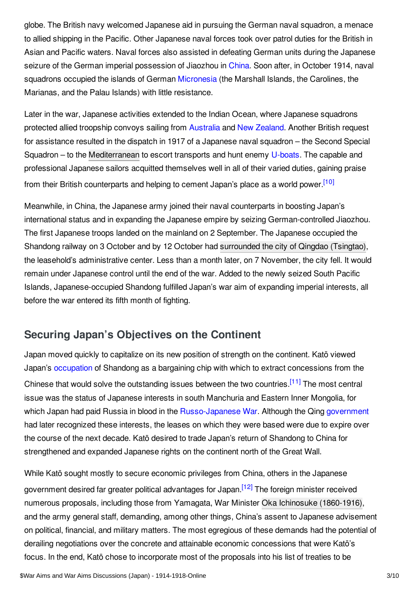globe. The British navy welcomed Japanese aid in pursuing the German naval squadron, a menace to allied shipping in the Pacific. Other Japanese naval forces took over patrol duties for the British in Asian and Pacific waters. Naval forces also assisted in defeating German units during the Japanese seizure of the German imperial possession of Jiaozhou in [China](https://encyclopedia.1914-1918-online.net/article/china). Soon after, in October 1914, naval squadrons occupied the islands of German [Micronesia](https://encyclopedia.1914-1918-online.net/article/micronesia) (the Marshall Islands, the Carolines, the Marianas, and the Palau Islands) with little resistance.

Later in the war, Japanese activities extended to the Indian Ocean, where Japanese squadrons protected allied troopship convoys sailing from [Australia](https://encyclopedia.1914-1918-online.net/article/australia) and New [Zealand](https://encyclopedia.1914-1918-online.net/article/new_zealand). Another British request for assistance resulted in the dispatch in 1917 of a Japanese naval squadron – the Second Special Squadron – to the [Mediterranean](https://encyclopedia.1914-1918-online.net/article/navy_squadron_in_the_mediterranean_japan) to escort transports and hunt enemy [U-boats](https://encyclopedia.1914-1918-online.net/article/submarines_and_submarine_warfare). The capable and professional Japanese sailors acquitted themselves well in all of their varied duties, gaining praise from their British counterparts and helping to cement Japan's place as a world power.<sup>[\[10\]](#page-7-10)</sup>

<span id="page-2-1"></span>Meanwhile, in China, the Japanese army joined their naval counterparts in boosting Japan's international status and in expanding the Japanese empire by seizing German-controlled Jiaozhou. The first Japanese troops landed on the mainland on 2 September. The Japanese occupied the Shandong railway on 3 October and by 12 October had [surrounded](https://encyclopedia.1914-1918-online.net/article/qingdao_siege_ofgerman-japanese_war) the city of Qingdao (Tsingtao), the leasehold's administrative center. Less than a month later, on 7 November, the city fell. It would remain under Japanese control until the end of the war. Added to the newly seized South Pacific Islands, Japanese-occupied Shandong fulfilled Japan's war aim of expanding imperial interests, all before the war entered its fifth month of fighting.

# <span id="page-2-0"></span>**Securing Japan's Objectives on the Continent**

<span id="page-2-2"></span>Japan moved quickly to capitalize on its new position of strength on the continent. Katō viewed Japan's [occupation](https://encyclopedia.1914-1918-online.net/article/occupation_during_and_after_the_war_china) of Shandong as a bargaining chip with which to extract concessions from the Chinese that would solve the outstanding issues between the two countries.<sup>[\[11\]](#page-7-11)</sup> The most central issue was the status of Japanese interests in south Manchuria and Eastern Inner Mongolia, for which Japan had paid Russia in blood in the [Russo-Japanese](https://encyclopedia.1914-1918-online.net/article/russian-japanese-war) War. Although the Qing [government](https://encyclopedia.1914-1918-online.net/article/governments_parliaments_and_parties_china) had later recognized these interests, the leases on which they were based were due to expire over the course of the next decade. Katō desired to trade Japan's return of Shandong to China for strengthened and expanded Japanese rights on the continent north of the Great Wall.

<span id="page-2-3"></span>While Katō sought mostly to secure economic privileges from China, others in the Japanese government desired far greater political advantages for Japan.<sup>[\[12\]](#page-7-12)</sup> The foreign minister received numerous proposals, including those from Yamagata, War Minister Oka Ichinosuke [\(1860-1916\)](https://encyclopedia.1914-1918-online.net/index/names/1054619271), and the army general staff, demanding, among other things, China's assent to Japanese advisement on political, financial, and military matters. The most egregious of these demands had the potential of derailing negotiations over the concrete and attainable economic concessions that were Katō's focus. In the end, Katō chose to incorporate most of the proposals into his list of treaties to be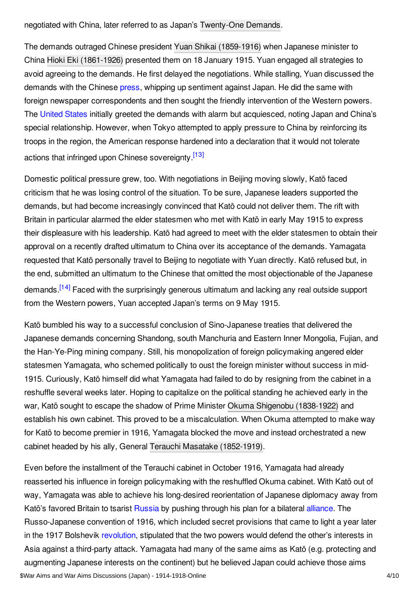negotiated with China, later referred to as Japan's [Twenty-One](https://encyclopedia.1914-1918-online.net/article/twenty-one_demands) Demands.

The demands outraged Chinese president Yuan Shikai [\(1859-1916\)](https://encyclopedia.1914-1918-online.net/index/names/128976861) when Japanese minister to China Hioki Eki [\(1861-1926\)](https://encyclopedia.1914-1918-online.net/index/names/1164610597) presented them on 18 January 1915. Yuan engaged all strategies to avoid agreeing to the demands. He first delayed the negotiations. While stalling, Yuan discussed the demands with the Chinese [press](https://encyclopedia.1914-1918-online.net/article/pressjournalism), whipping up sentiment against Japan. He did the same with foreign newspaper correspondents and then sought the friendly intervention of the Western powers. The [United](https://encyclopedia.1914-1918-online.net/article/united_states_of_america) States initially greeted the demands with alarm but acquiesced, noting Japan and China's special relationship. However, when Tokyo attempted to apply pressure to China by reinforcing its troops in the region, the American response hardened into a declaration that it would not tolerate actions that infringed upon Chinese sovereignty [\[13\]](#page-7-13)

<span id="page-3-0"></span>Domestic political pressure grew, too. With negotiations in Beijing moving slowly, Katō faced criticism that he was losing control of the situation. To be sure, Japanese leaders supported the demands, but had become increasingly convinced that Katō could not deliver them. The rift with Britain in particular alarmed the elder statesmen who met with Katō in early May 1915 to express their displeasure with his leadership. Katō had agreed to meet with the elder statesmen to obtain their approval on a recently drafted ultimatum to China over its acceptance of the demands. Yamagata requested that Katō personally travel to Beijing to negotiate with Yuan directly. Katō refused but, in the end, submitted an ultimatum to the Chinese that omitted the most objectionable of the Japanese demands.<sup>[\[14\]](#page-7-14)</sup> Faced with the surprisingly generous ultimatum and lacking any real outside support from the Western powers, Yuan accepted Japan's terms on 9 May 1915.

<span id="page-3-1"></span>Katō bumbled his way to a successful conclusion of Sino-Japanese treaties that delivered the Japanese demands concerning Shandong, south Manchuria and Eastern Inner Mongolia, Fujian, and the Han-Ye-Ping mining company. Still, his monopolization of foreign policymaking angered elder statesmen Yamagata, who schemed politically to oust the foreign minister without success in mid-1915. Curiously, Katō himself did what Yamagata had failed to do by resigning from the cabinet in a reshuffle several weeks later. Hoping to capitalize on the political standing he achieved early in the war, Katō sought to escape the shadow of Prime Minister Okuma Shigenobu [\(1838-1922\)](https://encyclopedia.1914-1918-online.net/index/names/119096420) and establish his own cabinet. This proved to be a miscalculation. When Okuma attempted to make way for Katō to become premier in 1916, Yamagata blocked the move and instead orchestrated a new cabinet headed by his ally, General Terauchi Masatake [\(1852-1919\)](https://encyclopedia.1914-1918-online.net/index/names/1049355342).

Even before the installment of the Terauchi cabinet in October 1916, Yamagata had already reasserted his influence in foreign policymaking with the reshuffled Okuma cabinet. With Katō out of way, Yamagata was able to achieve his long-desired reorientation of Japanese diplomacy away from Katō's favored Britain to tsarist [Russia](https://encyclopedia.1914-1918-online.net/article/russian_empire) by pushing through his plan for a bilateral [alliance.](https://encyclopedia.1914-1918-online.net/article/alliance_system_1914) The Russo-Japanese convention of 1916, which included secret provisions that came to light a year later in the 1917 Bolshevik [revolution](https://encyclopedia.1914-1918-online.net/article/revolutions_russian_empire), stipulated that the two powers would defend the other's interests in Asia against a third-party attack. Yamagata had many of the same aims as Katō (e.g. protecting and augmenting Japanese interests on the continent) but he believed Japan could achieve those aims \$War Aims and War Aims Discussions (Japan) - 1914-1918-Online 4/10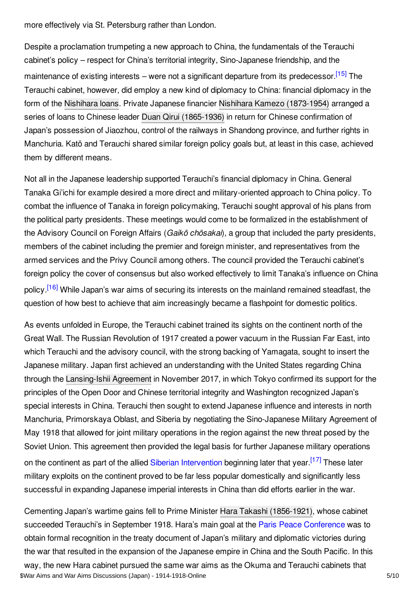more effectively via St. Petersburg rather than London.

<span id="page-4-0"></span>Despite a proclamation trumpeting a new approach to China, the fundamentals of the Terauchi cabinet's policy – respect for China's territorial integrity, Sino-Japanese friendship, and the maintenance of existing interests – were not a significant departure from its predecessor.<sup>[\[15\]](#page-7-15)</sup> The Terauchi cabinet, however, did employ a new kind of diplomacy to China: financial diplomacy in the form of the [Nishihara](https://encyclopedia.1914-1918-online.net/article/nishihara_loans) loans. Private Japanese financier Nishihara Kamezo [\(1873-1954\)](https://encyclopedia.1914-1918-online.net/index/names/1015284671) arranged a series of loans to Chinese leader Duan Qirui [\(1865-1936\)](https://encyclopedia.1914-1918-online.net/index/names/1049357299) in return for Chinese confirmation of Japan's possession of Jiaozhou, control of the railways in Shandong province, and further rights in Manchuria. Katō and Terauchi shared similar foreign policy goals but, at least in this case, achieved them by different means.

Not all in the Japanese leadership supported Terauchi's financial diplomacy in China. General Tanaka Gi'ichi for example desired a more direct and military-oriented approach to China policy. To combat the influence of Tanaka in foreign policymaking, Terauchi sought approval of his plans from the political party presidents. These meetings would come to be formalized in the establishment of the Advisory Council on Foreign Affairs (*Gaikō chōsakai*), a group that included the party presidents, members of the cabinet including the premier and foreign minister, and representatives from the armed services and the Privy Council among others. The council provided the Terauchi cabinet's foreign policy the cover of consensus but also worked effectively to limit Tanaka's influence on China policy.<sup>[\[16\]](#page-7-16)</sup> While Japan's war aims of securing its interests on the mainland remained steadfast, the question of how best to achieve that aim increasingly became a flashpoint for domestic politics.

<span id="page-4-1"></span>As events unfolded in Europe, the Terauchi cabinet trained its sights on the continent north of the Great Wall. The Russian Revolution of 1917 created a power vacuum in the Russian Far East, into which Terauchi and the advisory council, with the strong backing of Yamagata, sought to insert the Japanese military. Japan first achieved an understanding with the United States regarding China through the [Lansing-Ishii](https://encyclopedia.1914-1918-online.net/article/ishii-lansing_agreement_1917) Agreement in November 2017, in which Tokyo confirmed its support for the principles of the Open Door and Chinese territorial integrity and Washington recognized Japan's special interests in China. Terauchi then sought to extend Japanese influence and interests in north Manchuria, Primorskaya Oblast, and Siberia by negotiating the Sino-Japanese Military Agreement of May 1918 that allowed for joint military operations in the region against the new threat posed by the Soviet Union. This agreement then provided the legal basis for further Japanese military operations on the continent as part of the allied Siberian [Intervention](https://encyclopedia.1914-1918-online.net/article/siberian_intervention_1918-1922) beginning later that year.<sup>[\[17\]](#page-7-17)</sup> These later military exploits on the continent proved to be far less popular domestically and significantly less successful in expanding Japanese imperial interests in China than did efforts earlier in the war.

<span id="page-4-2"></span>Cementing Japan's wartime gains fell to Prime Minister Hara Takashi [\(1856-1921\)](https://encyclopedia.1914-1918-online.net/index/names/119096617), whose cabinet succeeded Terauchi's in September 1918. Hara's main goal at the Paris Peace [Conference](https://encyclopedia.1914-1918-online.net/article/the_paris_peace_conference_and_its_consequences) was to obtain formal recognition in the treaty document of Japan's military and diplomatic victories during the war that resulted in the expansion of the Japanese empire in China and the South Pacific. In this way, the new Hara cabinet pursued the same war aims as the Okuma and Terauchi cabinets that \$War Aims and War Aims Discussions (Japan) - 1914-1918-Online 5/10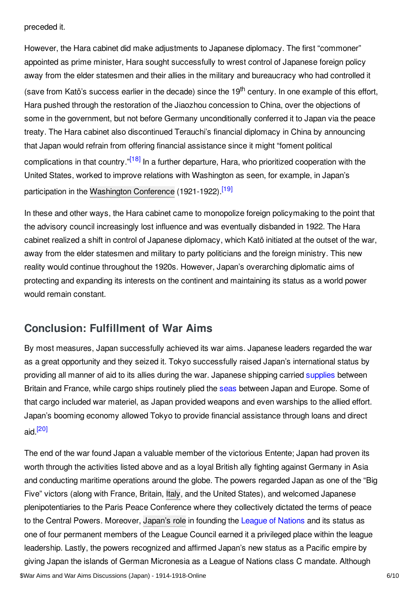preceded it.

However, the Hara cabinet did make adjustments to Japanese diplomacy. The first "commoner" appointed as prime minister, Hara sought successfully to wrest control of Japanese foreign policy away from the elder statesmen and their allies in the military and bureaucracy who had controlled it (save from Katō's success earlier in the decade) since the 19<sup>th</sup> century. In one example of this effort, Hara pushed through the restoration of the Jiaozhou concession to China, over the objections of some in the government, but not before Germany unconditionally conferred it to Japan via the peace treaty. The Hara cabinet also discontinued Terauchi's financial diplomacy in China by announcing that Japan would refrain from offering financial assistance since it might "foment political complications in that country."<sup>[\[18\]](#page-7-18)</sup> In a further departure, Hara, who prioritized cooperation with the United States, worked to improve relations with Washington as seen, for example, in Japan's participation in the [Washington](https://encyclopedia.1914-1918-online.net/article/washington_conference_1921-1922) Conference (1921-1922).<sup>[\[19\]](#page-7-19)</sup>

<span id="page-5-2"></span><span id="page-5-1"></span>In these and other ways, the Hara cabinet came to monopolize foreign policymaking to the point that the advisory council increasingly lost influence and was eventually disbanded in 1922. The Hara cabinet realized a shift in control of Japanese diplomacy, which Katō initiated at the outset of the war, away from the elder statesmen and military to party politicians and the foreign ministry. This new reality would continue throughout the 1920s. However, Japan's overarching diplomatic aims of protecting and expanding its interests on the continent and maintaining its status as a world power would remain constant.

# <span id="page-5-0"></span>**Conclusion: Fulfillment of War Aims**

By most measures, Japan successfully achieved its war aims. Japanese leaders regarded the war as a great opportunity and they seized it. Tokyo successfully raised Japan's international status by providing all manner of aid to its allies during the war. Japanese shipping carried [supplies](https://encyclopedia.1914-1918-online.net/article/sea_transport_and_supply) between Britain and France, while cargo ships routinely plied the [seas](https://encyclopedia.1914-1918-online.net/article/sea_power) between Japan and Europe. Some of that cargo included war materiel, as Japan provided weapons and even warships to the allied effort. Japan's booming economy allowed Tokyo to provide financial assistance through loans and direct aid. [\[20\]](#page-8-1)

<span id="page-5-3"></span>The end of the war found Japan a valuable member of the victorious Entente; Japan had proven its worth through the activities listed above and as a loyal British ally fighting against Germany in Asia and conducting maritime operations around the globe. The powers regarded Japan as one of the "Big Five" victors (along with France, Britain, [Italy](https://encyclopedia.1914-1918-online.net/article/italy), and the United States), and welcomed Japanese plenipotentiaries to the Paris Peace Conference where they collectively dictated the terms of peace to the Central Powers. Moreover, [Japan's](https://encyclopedia.1914-1918-online.net/article/league_of_nations_and_japan) role in founding the League of [Nations](https://encyclopedia.1914-1918-online.net/article/league_of_nations) and its status as one of four permanent members of the League Council earned it a privileged place within the league leadership. Lastly, the powers recognized and affirmed Japan's new status as a Pacific empire by giving Japan the islands of German Micronesia as a League of Nations class C mandate. Although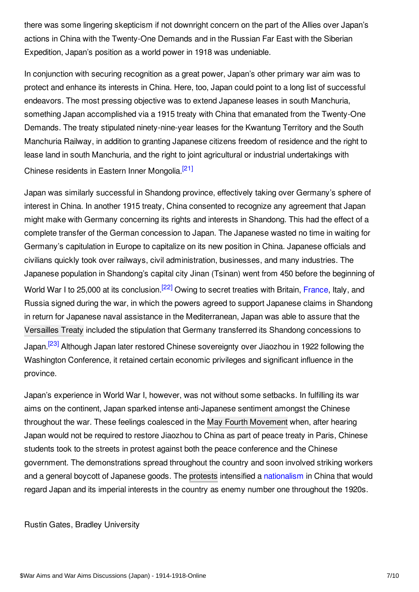there was some lingering skepticism if not downright concern on the part of the Allies over Japan's actions in China with the Twenty-One Demands and in the Russian Far East with the Siberian Expedition, Japan's position as a world power in 1918 was undeniable.

In conjunction with securing recognition as a great power, Japan's other primary war aim was to protect and enhance its interests in China. Here, too, Japan could point to a long list of successful endeavors. The most pressing objective was to extend Japanese leases in south Manchuria, something Japan accomplished via a 1915 treaty with China that emanated from the Twenty-One Demands. The treaty stipulated ninety-nine-year leases for the Kwantung Territory and the South Manchuria Railway, in addition to granting Japanese citizens freedom of residence and the right to lease land in south Manchuria, and the right to joint agricultural or industrial undertakings with Chinese residents in Eastern Inner Mongolia.<sup>[\[21\]](#page-8-2)</sup>

<span id="page-6-1"></span><span id="page-6-0"></span>Japan was similarly successful in Shandong province, effectively taking over Germany's sphere of interest in China. In another 1915 treaty, China consented to recognize any agreement that Japan might make with Germany concerning its rights and interests in Shandong. This had the effect of a complete transfer of the German concession to Japan. The Japanese wasted no time in waiting for Germany's capitulation in Europe to capitalize on its new position in China. Japanese officials and civilians quickly took over railways, civil administration, businesses, and many industries. The Japanese population in Shandong's capital city Jinan (Tsinan) went from 450 before the beginning of World War I to 25,000 at its conclusion.<sup>[\[22\]](#page-8-3)</sup> Owing to secret treaties with Britain, [France](https://encyclopedia.1914-1918-online.net/article/france), Italy, and Russia signed during the war, in which the powers agreed to support Japanese claims in Shandong in return for Japanese naval assistance in the Mediterranean, Japan was able to assure that the [Versailles](https://encyclopedia.1914-1918-online.net/article/versailles_treaty_of) Treaty included the stipulation that Germany transferred its Shandong concessions to Japan.<sup>[\[23\]](#page-8-4)</sup> Although Japan later restored Chinese sovereignty over Jiaozhou in 1922 following the Washington Conference, it retained certain economic privileges and significant influence in the province.

<span id="page-6-2"></span>Japan's experience in World War I, however, was not without some setbacks. In fulfilling its war aims on the continent, Japan sparked intense anti-Japanese sentiment amongst the Chinese throughout the war. These feelings coalesced in the May Fourth [Movement](https://encyclopedia.1914-1918-online.net/article/may_fourth_movement_china) when, after hearing Japan would not be required to restore Jiaozhou to China as part of peace treaty in Paris, Chinese students took to the streets in protest against both the peace conference and the Chinese government. The demonstrations spread throughout the country and soon involved striking workers and a general boycott of Japanese goods. The [protests](https://encyclopedia.1914-1918-online.net/article/social_conflict_and_control_protest_and_repression_china) intensified a [nationalism](https://encyclopedia.1914-1918-online.net/article/nationalism) in China that would regard Japan and its imperial interests in the country as enemy number one throughout the 1920s.

#### Rustin Gates, Bradley University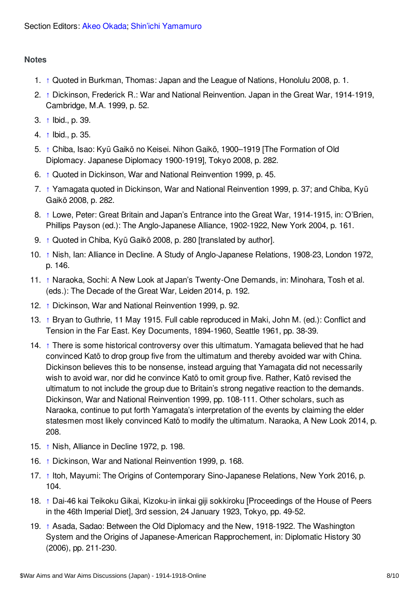#### <span id="page-7-0"></span>**Notes**

- <span id="page-7-1"></span>1. [↑](#page-0-1) Quoted in Burkman, Thomas: Japan and the League of Nations, Honolulu 2008, p. 1.
- <span id="page-7-2"></span>2. [↑](#page-0-2) Dickinson, Frederick R.: War and National Reinvention. Japan in the Great War, 1914-1919, Cambridge, M.A. 1999, p. 52.
- <span id="page-7-3"></span>3. [↑](#page-1-1) Ibid., p. 39.
- <span id="page-7-4"></span>4. [↑](#page-1-2) Ibid., p. 35.
- <span id="page-7-5"></span>5. [↑](#page-1-3) Chiba, Isao: Kyū Gaikō no Keisei. Nihon Gaikō, 1900–1919 [The Formation of Old Diplomacy. Japanese Diplomacy 1900-1919], Tokyo 2008, p. 282.
- <span id="page-7-6"></span>6. [↑](#page-1-4) Quoted in Dickinson, War and National Reinvention 1999, p. 45.
- <span id="page-7-7"></span>7. [↑](#page-1-5) Yamagata quoted in Dickinson, War and National Reinvention 1999, p. 37; and Chiba, Kyū Gaikō 2008, p. 282.
- <span id="page-7-8"></span>8. [↑](#page-1-6) Lowe, Peter: Great Britain and Japan's Entrance into the Great War, 1914-1915, in: O'Brien, Phillips Payson (ed.): The Anglo-Japanese Alliance, 1902-1922, New York 2004, p. 161.
- <span id="page-7-9"></span>9. [↑](#page-1-7) Quoted in Chiba, Kyū Gaikō 2008, p. 280 [translated by author].
- <span id="page-7-10"></span>10. [↑](#page-2-1) Nish, Ian: Alliance in Decline. A Study of Anglo-Japanese Relations, 1908-23, London 1972, p. 146.
- <span id="page-7-11"></span>11. [↑](#page-2-2) Naraoka, Sochi: A New Look at Japan's Twenty-One Demands, in: Minohara, Tosh et al. (eds.): The Decade of the Great War, Leiden 2014, p. 192.
- <span id="page-7-12"></span>12. [↑](#page-2-3) Dickinson, War and National Reinvention 1999, p. 92.
- <span id="page-7-13"></span>13. [↑](#page-3-0) Bryan to Guthrie, 11 May 1915. Full cable reproduced in Maki, John M. (ed.): Conflict and Tension in the Far East. Key Documents, 1894-1960, Seattle 1961, pp. 38-39.
- <span id="page-7-14"></span>14. [↑](#page-3-1) There is some historical controversy over this ultimatum. Yamagata believed that he had convinced Katō to drop group five from the ultimatum and thereby avoided war with China. Dickinson believes this to be nonsense, instead arguing that Yamagata did not necessarily wish to avoid war, nor did he convince Katō to omit group five. Rather, Katō revised the ultimatum to not include the group due to Britain's strong negative reaction to the demands. Dickinson, War and National Reinvention 1999, pp. 108-111. Other scholars, such as Naraoka, continue to put forth Yamagata's interpretation of the events by claiming the elder statesmen most likely convinced Katō to modify the ultimatum. Naraoka, A New Look 2014, p. 208.
- <span id="page-7-15"></span>15. [↑](#page-4-0) Nish, Alliance in Decline 1972, p. 198.
- <span id="page-7-16"></span>16. [↑](#page-4-1) Dickinson, War and National Reinvention 1999, p. 168.
- <span id="page-7-17"></span>17. [↑](#page-4-2) Itoh, Mayumi: The Origins of Contemporary Sino-Japanese Relations, New York 2016, p. 104.
- <span id="page-7-18"></span>18. [↑](#page-5-1) Dai-46 kai Teikoku Gikai, Kizoku-in iinkai giji sokkiroku [Proceedings of the House of Peers in the 46th Imperial Diet], 3rd session, 24 January 1923, Tokyo, pp. 49-52.
- <span id="page-7-19"></span>19. [↑](#page-5-2) Asada, Sadao: Between the Old Diplomacy and the New, 1918-1922. The Washington System and the Origins of Japanese-American Rapprochement, in: Diplomatic History 30 (2006), pp. 211-230.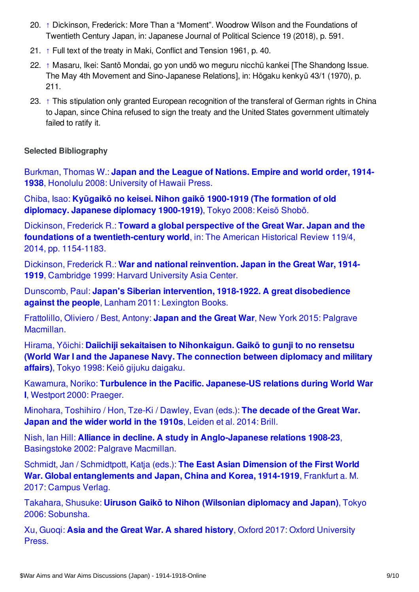- <span id="page-8-1"></span>20. [↑](#page-5-3) Dickinson, Frederick: More Than a "Moment". Woodrow Wilson and the Foundations of Twentieth Century Japan, in: Japanese Journal of Political Science 19 (2018), p. 591.
- <span id="page-8-2"></span>21. [↑](#page-6-0) Full text of the treaty in Maki, Conflict and Tension 1961, p. 40.
- <span id="page-8-3"></span>22. [↑](#page-6-1) Masaru, Ikei: Santō Mondai, go yon undō wo meguru nicchū kankei [The Shandong Issue. The May 4th Movement and Sino-Japanese Relations], in: Hōgaku kenkyū 43/1 (1970), p. 211.
- <span id="page-8-4"></span>23. [↑](#page-6-2) This stipulation only granted European recognition of the transferal of German rights in China to Japan, since China refused to sign the treaty and the United States government ultimately failed to ratify it.

### <span id="page-8-0"></span>**Selected Bibliography**

[Burkman,](https://encyclopedia.1914-1918-online.net/bibliography/8T2FVVC6) Thomas W.: **Japan and the League of Nations. Empire and world order, 1914- 1938**, Honolulu 2008: University of Hawaii Press.

Chiba, Isao: **Kyūgaikō no keisei. Nihon gaikō 1900-1919 (The formation of old [diplomacy.](https://encyclopedia.1914-1918-online.net/bibliography/7FDETHMD) Japanese diplomacy 1900-1919)**, Tokyo 2008: Keisō Shobō.

Dickinson, Frederick R.: **Toward a global perspective of the Great War. Japan and the foundations of a [twentieth-century](https://encyclopedia.1914-1918-online.net/bibliography/7U5VUZB4) world**, in: The American Historical Review 119/4, 2014, pp. 1154-1183.

Dickinson, Frederick R.: **War and national [reinvention.](https://encyclopedia.1914-1918-online.net/bibliography/9JFC8QC6) Japan in the Great War, 1914- 1919**, Cambridge 1999: Harvard University Asia Center.

Dunscomb, Paul: **Japan's Siberian intervention, 1918-1922. A great [disobedience](https://encyclopedia.1914-1918-online.net/bibliography/4IJQWZ6R) against the people**, Lanham 2011: Lexington Books.

Frattolillo, Oliviero / Best, Antony: **Japan and the Great War**, New York 2015: Palgrave [Macmillan.](https://encyclopedia.1914-1918-online.net/bibliography/8B3PPMT5)

Hirama, Yōichi: **Daiichiji sekaitaisen to [Nihonkaigun.](https://encyclopedia.1914-1918-online.net/bibliography/MHM4AWDI) Gaikō to gunji to no rensetsu (World War I and the Japanese Navy. The connection between diplomacy and military affairs)**, Tokyo 1998: Keiō gijuku daigaku.

Kawamura, Noriko: **Turbulence in the Pacific. [Japanese-US](https://encyclopedia.1914-1918-online.net/bibliography/6IVQRH3V) relations during World War I**, Westport 2000: Praeger.

[Minohara,](https://encyclopedia.1914-1918-online.net/bibliography/K8VXQ9QM) Toshihiro / Hon, Tze-Ki / Dawley, Evan (eds.): **The decade of the Great War. Japan and the wider world in the 1910s**, Leiden et al. 2014: Brill.

Nish, Ian Hill: **Alliance in decline. A study in [Anglo-Japanese](https://encyclopedia.1914-1918-online.net/bibliography/KI84RM2D) relations 1908-23**, Basingstoke 2002: Palgrave Macmillan.

Schmidt, Jan / Schmidtpott, Katja (eds.): **The East Asian Dimension of the First World War. Global [entanglements](https://encyclopedia.1914-1918-online.net/bibliography/9WWFQ53M) and Japan, China and Korea, 1914-1919**, Frankfurt a. M. 2017: Campus Verlag.

Takahara, Shusuke: **Uiruson Gaikō to Nihon [\(Wilsonian](https://encyclopedia.1914-1918-online.net/bibliography/45SGNJB2) diplomacy and Japan)**, Tokyo 2006: Sobunsha.

Xu, Guoqi: **Asia and the Great War. A shared history**, Oxford 2017: Oxford [University](https://encyclopedia.1914-1918-online.net/bibliography/C2WEMNTW) Press.